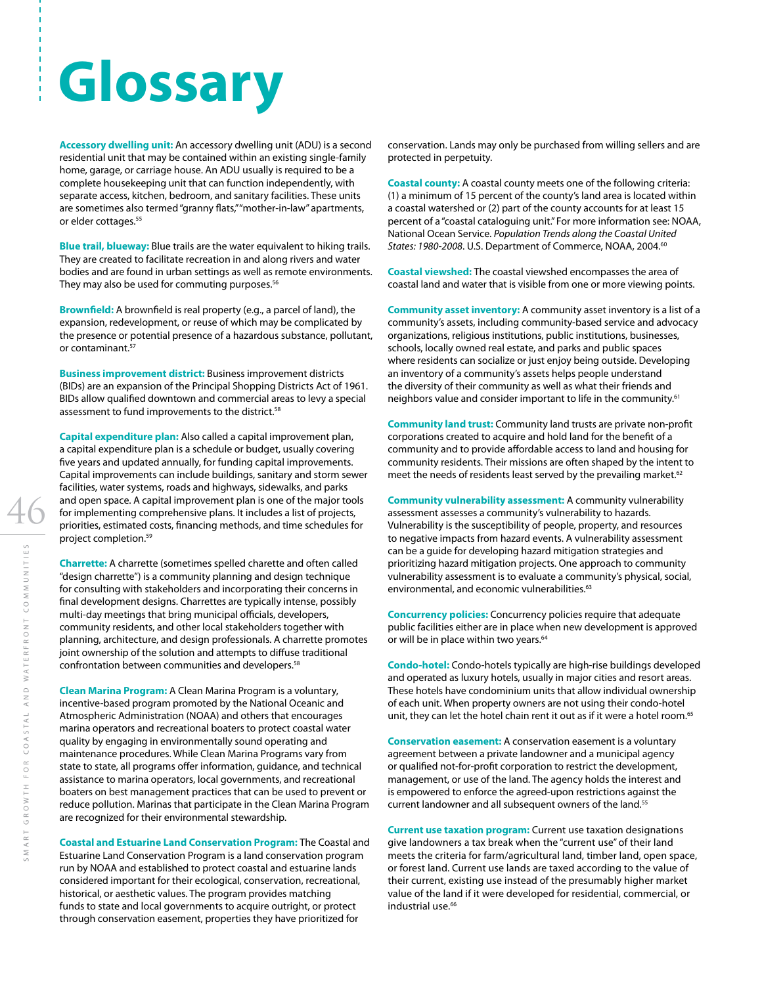## **Glossary**

**Accessory dwelling unit:** An accessory dwelling unit (ADU) is a second residential unit that may be contained within an existing single-family home, garage, or carriage house. An ADU usually is required to be a complete housekeeping unit that can function independently, with separate access, kitchen, bedroom, and sanitary facilities. These units are sometimes also termed "granny flats," "mother-in-law" apartments, or elder cottages.<sup>55</sup>

**Blue trail, blueway:** Blue trails are the water equivalent to hiking trails. They are created to facilitate recreation in and along rivers and water bodies and are found in urban settings as well as remote environments. They may also be used for commuting purposes.<sup>56</sup>

**Brownfield:** A brownfield is real property (e.g., a parcel of land), the expansion, redevelopment, or reuse of which may be complicated by the presence or potential presence of a hazardous substance, pollutant, or contaminant.<sup>57</sup>

**Business improvement district:** Business improvement districts (BIDs) are an expansion of the Principal Shopping Districts Act of 1961. BIDs allow qualified downtown and commercial areas to levy a special assessment to fund improvements to the district.<sup>58</sup>

**Capital expenditure plan:** Also called a capital improvement plan, a capital expenditure plan is a schedule or budget, usually covering five years and updated annually, for funding capital improvements. Capital improvements can include buildings, sanitary and storm sewer facilities, water systems, roads and highways, sidewalks, and parks and open space. A capital improvement plan is one of the major tools for implementing comprehensive plans. It includes a list of projects, priorities, estimated costs, financing methods, and time schedules for project completion.59

**Charrette:** A charrette (sometimes spelled charette and often called "design charrette") is a community planning and design technique for consulting with stakeholders and incorporating their concerns in final development designs. Charrettes are typically intense, possibly multi-day meetings that bring municipal officials, developers, community residents, and other local stakeholders together with planning, architecture, and design professionals. A charrette promotes joint ownership of the solution and attempts to diffuse traditional confrontation between communities and developers.<sup>58</sup>

**Clean Marina Program:** A Clean Marina Program is a voluntary, incentive-based program promoted by the National Oceanic and Atmospheric Administration (NOAA) and others that encourages marina operators and recreational boaters to protect coastal water quality by engaging in environmentally sound operating and maintenance procedures. While Clean Marina Programs vary from state to state, all programs offer information, guidance, and technical assistance to marina operators, local governments, and recreational boaters on best management practices that can be used to prevent or reduce pollution. Marinas that participate in the Clean Marina Program are recognized for their environmental stewardship.

**Coastal and Estuarine Land Conservation Program:** The Coastal and Estuarine Land Conservation Program is a land conservation program run by NOAA and established to protect coastal and estuarine lands considered important for their ecological, conservation, recreational, historical, or aesthetic values. The program provides matching funds to state and local governments to acquire outright, or protect through conservation easement, properties they have prioritized for

conservation. Lands may only be purchased from willing sellers and are protected in perpetuity.

**Coastal county:** A coastal county meets one of the following criteria: (1) a minimum of 15 percent of the county's land area is located within a coastal watershed or (2) part of the county accounts for at least 15 percent of a "coastal cataloguing unit." For more information see: NOAA, National Ocean Service. *Population Trends along the Coastal United States: 1980-2008*. U.S. Department of Commerce, NOAA, 2004.60

**Coastal viewshed:** The coastal viewshed encompasses the area of coastal land and water that is visible from one or more viewing points.

**Community asset inventory:** A community asset inventory is a list of a community's assets, including community-based service and advocacy organizations, religious institutions, public institutions, businesses, schools, locally owned real estate, and parks and public spaces where residents can socialize or just enjoy being outside. Developing an inventory of a community's assets helps people understand the diversity of their community as well as what their friends and neighbors value and consider important to life in the community.<sup>61</sup>

**Community land trust:** Community land trusts are private non-profit corporations created to acquire and hold land for the benefit of a community and to provide affordable access to land and housing for community residents. Their missions are often shaped by the intent to meet the needs of residents least served by the prevailing market. $62$ 

**Community vulnerability assessment:** A community vulnerability assessment assesses a community's vulnerability to hazards. Vulnerability is the susceptibility of people, property, and resources to negative impacts from hazard events. A vulnerability assessment can be a guide for developing hazard mitigation strategies and prioritizing hazard mitigation projects. One approach to community vulnerability assessment is to evaluate a community's physical, social, environmental, and economic vulnerabilities.<sup>63</sup>

**Concurrency policies:** Concurrency policies require that adequate public facilities either are in place when new development is approved or will be in place within two years.<sup>64</sup>

**Condo-hotel:** Condo-hotels typically are high-rise buildings developed and operated as luxury hotels, usually in major cities and resort areas. These hotels have condominium units that allow individual ownership of each unit. When property owners are not using their condo-hotel unit, they can let the hotel chain rent it out as if it were a hotel room.<sup>65</sup>

**Conservation easement:** A conservation easement is a voluntary agreement between a private landowner and a municipal agency or qualified not-for-profit corporation to restrict the development, management, or use of the land. The agency holds the interest and is empowered to enforce the agreed-upon restrictions against the current landowner and all subsequent owners of the land.<sup>55</sup>

**Current use taxation program:** Current use taxation designations give landowners a tax break when the "current use" of their land meets the criteria for farm/agricultural land, timber land, open space, or forest land. Current use lands are taxed according to the value of their current, existing use instead of the presumably higher market value of the land if it were developed for residential, commercial, or industrial use.<sup>66</sup>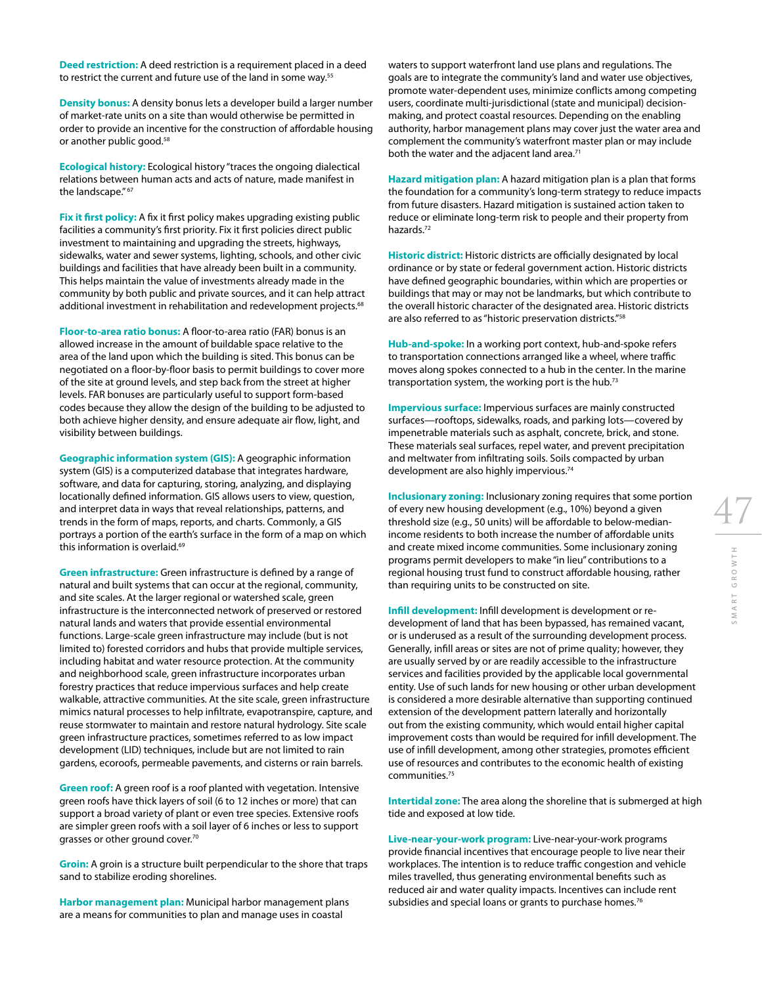**Deed restriction:** A deed restriction is a requirement placed in a deed to restrict the current and future use of the land in some way.<sup>55</sup>

**Density bonus:** A density bonus lets a developer build a larger number of market-rate units on a site than would otherwise be permitted in order to provide an incentive for the construction of affordable housing or another public good.58

**Ecological history:** Ecological history "traces the ongoing dialectical relations between human acts and acts of nature, made manifest in the landscape." 67

**Fix it first policy:** A fix it first policy makes upgrading existing public facilities a community's first priority. Fix it first policies direct public investment to maintaining and upgrading the streets, highways, sidewalks, water and sewer systems, lighting, schools, and other civic buildings and facilities that have already been built in a community. This helps maintain the value of investments already made in the community by both public and private sources, and it can help attract additional investment in rehabilitation and redevelopment projects.<sup>68</sup>

**Floor-to-area ratio bonus:** A floor-to-area ratio (FAR) bonus is an allowed increase in the amount of buildable space relative to the area of the land upon which the building is sited. This bonus can be negotiated on a floor-by-floor basis to permit buildings to cover more of the site at ground levels, and step back from the street at higher levels. FAR bonuses are particularly useful to support form-based codes because they allow the design of the building to be adjusted to both achieve higher density, and ensure adequate air flow, light, and visibility between buildings.

**Geographic information system (GIS):** A geographic information system (GIS) is a computerized database that integrates hardware, software, and data for capturing, storing, analyzing, and displaying locationally defined information. GIS allows users to view, question, and interpret data in ways that reveal relationships, patterns, and trends in the form of maps, reports, and charts. Commonly, a GIS portrays a portion of the earth's surface in the form of a map on which this information is overlaid.<sup>69</sup>

**Green infrastructure:** Green infrastructure is defined by a range of natural and built systems that can occur at the regional, community, and site scales. At the larger regional or watershed scale, green infrastructure is the interconnected network of preserved or restored natural lands and waters that provide essential environmental functions. Large-scale green infrastructure may include (but is not limited to) forested corridors and hubs that provide multiple services, including habitat and water resource protection. At the community and neighborhood scale, green infrastructure incorporates urban forestry practices that reduce impervious surfaces and help create walkable, attractive communities. At the site scale, green infrastructure mimics natural processes to help infiltrate, evapotranspire, capture, and reuse stormwater to maintain and restore natural hydrology. Site scale green infrastructure practices, sometimes referred to as low impact development (LID) techniques, include but are not limited to rain gardens, ecoroofs, permeable pavements, and cisterns or rain barrels.

**Green roof:** A green roof is a roof planted with vegetation. Intensive green roofs have thick layers of soil (6 to 12 inches or more) that can support a broad variety of plant or even tree species. Extensive roofs are simpler green roofs with a soil layer of 6 inches or less to support grasses or other ground cover.70

**Groin:** A groin is a structure built perpendicular to the shore that traps sand to stabilize eroding shorelines.

**Harbor management plan:** Municipal harbor management plans are a means for communities to plan and manage uses in coastal

waters to support waterfront land use plans and regulations. The goals are to integrate the community's land and water use objectives, promote water-dependent uses, minimize conflicts among competing users, coordinate multi-jurisdictional (state and municipal) decisionmaking, and protect coastal resources. Depending on the enabling authority, harbor management plans may cover just the water area and complement the community's waterfront master plan or may include both the water and the adjacent land area.<sup>71</sup>

**Hazard mitigation plan:** A hazard mitigation plan is a plan that forms the foundation for a community's long-term strategy to reduce impacts from future disasters. Hazard mitigation is sustained action taken to reduce or eliminate long-term risk to people and their property from hazards.72

**Historic district:** Historic districts are officially designated by local ordinance or by state or federal government action. Historic districts have defined geographic boundaries, within which are properties or buildings that may or may not be landmarks, but which contribute to the overall historic character of the designated area. Historic districts are also referred to as "historic preservation districts."58

**Hub-and-spoke:** In a working port context, hub-and-spoke refers to transportation connections arranged like a wheel, where traffic moves along spokes connected to a hub in the center. In the marine transportation system, the working port is the hub.73

**Impervious surface:** Impervious surfaces are mainly constructed surfaces—rooftops, sidewalks, roads, and parking lots—covered by impenetrable materials such as asphalt, concrete, brick, and stone. These materials seal surfaces, repel water, and prevent precipitation and meltwater from infiltrating soils. Soils compacted by urban development are also highly impervious.<sup>74</sup>

**Inclusionary zoning:** Inclusionary zoning requires that some portion of every new housing development (e.g., 10%) beyond a given threshold size (e.g., 50 units) will be affordable to below-medianincome residents to both increase the number of affordable units and create mixed income communities. Some inclusionary zoning programs permit developers to make "in lieu" contributions to a regional housing trust fund to construct affordable housing, rather than requiring units to be constructed on site.

**Infill development:** Infill development is development or redevelopment of land that has been bypassed, has remained vacant, or is underused as a result of the surrounding development process. Generally, infill areas or sites are not of prime quality; however, they are usually served by or are readily accessible to the infrastructure services and facilities provided by the applicable local governmental entity. Use of such lands for new housing or other urban development is considered a more desirable alternative than supporting continued extension of the development pattern laterally and horizontally out from the existing community, which would entail higher capital improvement costs than would be required for infill development. The use of infill development, among other strategies, promotes efficient use of resources and contributes to the economic health of existing communities.75

**Intertidal zone:** The area along the shoreline that is submerged at high tide and exposed at low tide.

**Live-near-your-work program:** Live-near-your-work programs provide financial incentives that encourage people to live near their workplaces. The intention is to reduce traffic congestion and vehicle miles travelled, thus generating environmental benefits such as reduced air and water quality impacts. Incentives can include rent subsidies and special loans or grants to purchase homes.<sup>76</sup>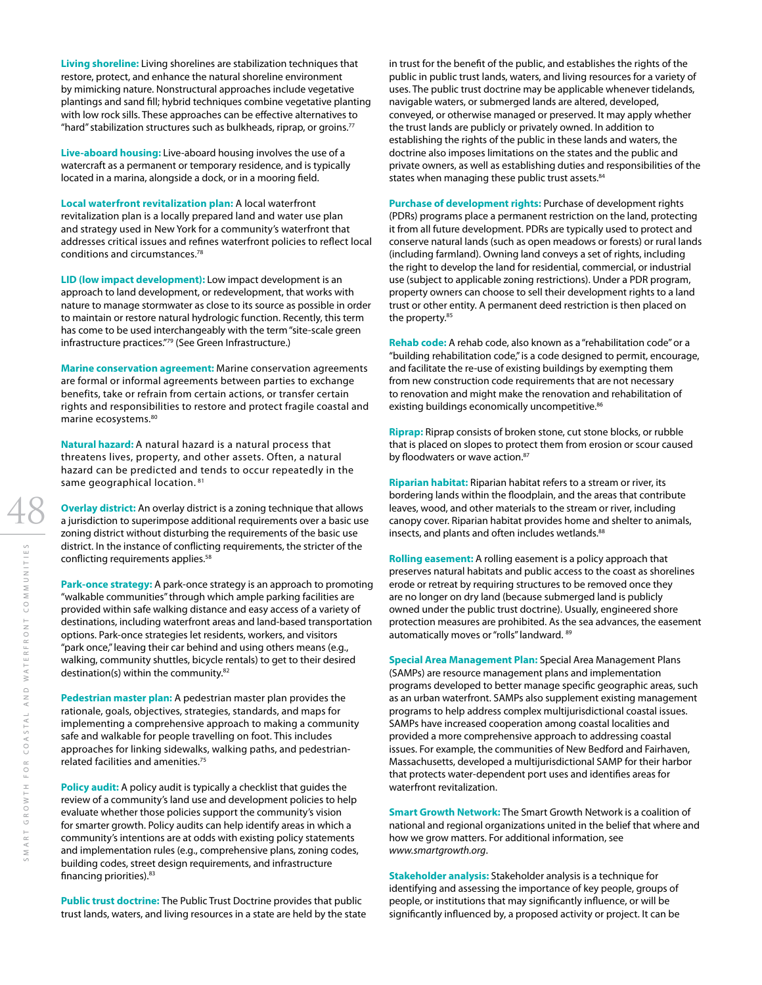**Living shoreline:** Living shorelines are stabilization techniques that restore, protect, and enhance the natural shoreline environment by mimicking nature. Nonstructural approaches include vegetative plantings and sand fill; hybrid techniques combine vegetative planting with low rock sills. These approaches can be effective alternatives to "hard" stabilization structures such as bulkheads, riprap, or groins. $77$ 

**Live-aboard housing:** Live-aboard housing involves the use of a watercraft as a permanent or temporary residence, and is typically located in a marina, alongside a dock, or in a mooring field.

**Local waterfront revitalization plan:** A local waterfront revitalization plan is a locally prepared land and water use plan and strategy used in New York for a community's waterfront that addresses critical issues and refines waterfront policies to reflect local conditions and circumstances.78

**LID (low impact development):** Low impact development is an approach to land development, or redevelopment, that works with nature to manage stormwater as close to its source as possible in order to maintain or restore natural hydrologic function. Recently, this term has come to be used interchangeably with the term "site-scale green infrastructure practices."79 (See Green Infrastructure.)

**Marine conservation agreement:** Marine conservation agreements are formal or informal agreements between parties to exchange benefits, take or refrain from certain actions, or transfer certain rights and responsibilities to restore and protect fragile coastal and marine ecosystems.80

**Natural hazard:** A natural hazard is a natural process that threatens lives, property, and other assets. Often, a natural hazard can be predicted and tends to occur repeatedly in the same geographical location. 81

**Overlay district:** An overlay district is a zoning technique that allows a jurisdiction to superimpose additional requirements over a basic use zoning district without disturbing the requirements of the basic use district. In the instance of conflicting requirements, the stricter of the conflicting requirements applies.<sup>58</sup>

**Park-once strategy:** A park-once strategy is an approach to promoting "walkable communities" through which ample parking facilities are provided within safe walking distance and easy access of a variety of destinations, including waterfront areas and land-based transportation options. Park-once strategies let residents, workers, and visitors "park once," leaving their car behind and using others means (e.g., walking, community shuttles, bicycle rentals) to get to their desired destination(s) within the community.<sup>82</sup>

**Pedestrian master plan:** A pedestrian master plan provides the rationale, goals, objectives, strategies, standards, and maps for implementing a comprehensive approach to making a community safe and walkable for people travelling on foot. This includes approaches for linking sidewalks, walking paths, and pedestrianrelated facilities and amenities.75

**Policy audit:** A policy audit is typically a checklist that guides the review of a community's land use and development policies to help evaluate whether those policies support the community's vision for smarter growth. Policy audits can help identify areas in which a community's intentions are at odds with existing policy statements and implementation rules (e.g., comprehensive plans, zoning codes, building codes, street design requirements, and infrastructure financing priorities).<sup>83</sup>

**Public trust doctrine:** The Public Trust Doctrine provides that public trust lands, waters, and living resources in a state are held by the state in trust for the benefit of the public, and establishes the rights of the public in public trust lands, waters, and living resources for a variety of uses. The public trust doctrine may be applicable whenever tidelands, navigable waters, or submerged lands are altered, developed, conveyed, or otherwise managed or preserved. It may apply whether the trust lands are publicly or privately owned. In addition to establishing the rights of the public in these lands and waters, the doctrine also imposes limitations on the states and the public and private owners, as well as establishing duties and responsibilities of the states when managing these public trust assets.<sup>84</sup>

**Purchase of development rights:** Purchase of development rights (PDRs) programs place a permanent restriction on the land, protecting it from all future development. PDRs are typically used to protect and conserve natural lands (such as open meadows or forests) or rural lands (including farmland). Owning land conveys a set of rights, including the right to develop the land for residential, commercial, or industrial use (subject to applicable zoning restrictions). Under a PDR program, property owners can choose to sell their development rights to a land trust or other entity. A permanent deed restriction is then placed on the property.<sup>85</sup>

**Rehab code:** A rehab code, also known as a "rehabilitation code" or a "building rehabilitation code," is a code designed to permit, encourage, and facilitate the re-use of existing buildings by exempting them from new construction code requirements that are not necessary to renovation and might make the renovation and rehabilitation of existing buildings economically uncompetitive.<sup>86</sup>

**Riprap:** Riprap consists of broken stone, cut stone blocks, or rubble that is placed on slopes to protect them from erosion or scour caused by floodwaters or wave action.<sup>87</sup>

**Riparian habitat:** Riparian habitat refers to a stream or river, its bordering lands within the floodplain, and the areas that contribute leaves, wood, and other materials to the stream or river, including canopy cover. Riparian habitat provides home and shelter to animals, insects, and plants and often includes wetlands.<sup>88</sup>

**Rolling easement:** A rolling easement is a policy approach that preserves natural habitats and public access to the coast as shorelines erode or retreat by requiring structures to be removed once they are no longer on dry land (because submerged land is publicly owned under the public trust doctrine). Usually, engineered shore protection measures are prohibited. As the sea advances, the easement automatically moves or "rolls" landward. 89

**Special Area Management Plan:** Special Area Management Plans (SAMPs) are resource management plans and implementation programs developed to better manage specific geographic areas, such as an urban waterfront. SAMPs also supplement existing management programs to help address complex multijurisdictional coastal issues. SAMPs have increased cooperation among coastal localities and provided a more comprehensive approach to addressing coastal issues. For example, the communities of New Bedford and Fairhaven, Massachusetts, developed a multijurisdictional SAMP for their harbor that protects water-dependent port uses and identifies areas for waterfront revitalization.

**Smart Growth Network:** The Smart Growth Network is a coalition of national and regional organizations united in the belief that where and how we grow matters. For additional information, see *www.smartgrowth.org*.

**Stakeholder analysis:** Stakeholder analysis is a technique for identifying and assessing the importance of key people, groups of people, or institutions that may significantly influence, or will be significantly influenced by, a proposed activity or project. It can be